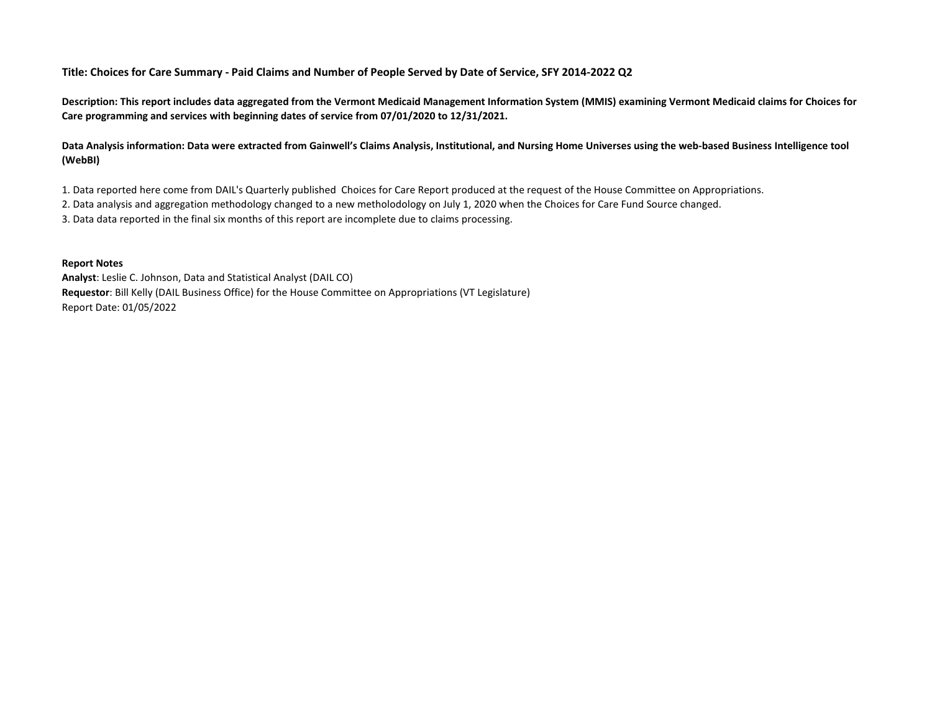**Title: Choices for Care Summary - Paid Claims and Number of People Served by Date of Service, SFY 2014-2022 Q2**

**Description: This report includes data aggregated from the Vermont Medicaid Management Information System (MMIS) examining Vermont Medicaid claims for Choices for Care programming and services with beginning dates of service from 07/01/2020 to 12/31/2021.**

**Data Analysis information: Data were extracted from Gainwell's Claims Analysis, Institutional, and Nursing Home Universes using the web-based Business Intelligence tool (WebBI)** 

1. Data reported here come from DAIL's Quarterly published Choices for Care Report produced at the request of the House Committee on Appropriations.

2. Data analysis and aggregation methodology changed to a new metholodology on July 1, 2020 when the Choices for Care Fund Source changed.

3. Data data reported in the final six months of this report are incomplete due to claims processing.

## **Report Notes**

**Analyst**: Leslie C. Johnson, Data and Statistical Analyst (DAIL CO) **Requestor**: Bill Kelly (DAIL Business Office) for the House Committee on Appropriations (VT Legislature) Report Date: 01/05/2022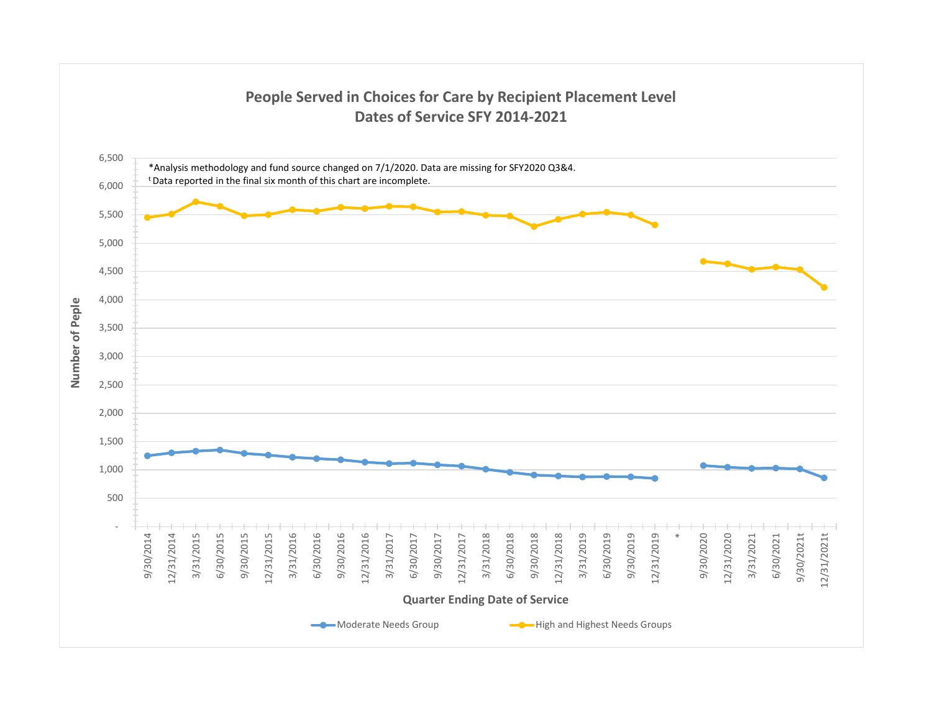